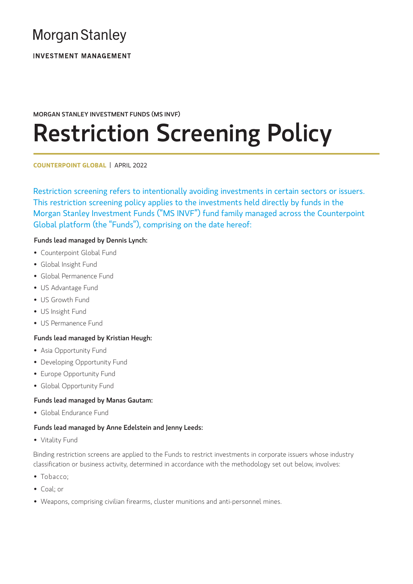# **Morgan Stanley**

**INVESTMENT MANAGEMENT** 

#### MORGAN STANLEY INVESTMENT FUNDS (MS INVF)

# Restriction Screening Policy

**COUNTERPOINT GLOBAL** | APRIL 2022

Restriction screening refers to intentionally avoiding investments in certain sectors or issuers. This restriction screening policy applies to the investments held directly by funds in the Morgan Stanley Investment Funds ("MS INVF") fund family managed across the Counterpoint Global platform (the "Funds"), comprising on the date hereof:

#### Funds lead managed by Dennis Lynch:

- Counterpoint Global Fund
- Global Insight Fund
- Global Permanence Fund
- US Advantage Fund
- US Growth Fund
- US Insight Fund
- US Permanence Fund

#### Funds lead managed by Kristian Heugh:

- Asia Opportunity Fund
- Developing Opportunity Fund
- Europe Opportunity Fund
- Global Opportunity Fund

#### Funds lead managed by Manas Gautam:

• Global Endurance Fund

#### Funds lead managed by Anne Edelstein and Jenny Leeds:

• Vitality Fund

Binding restriction screens are applied to the Funds to restrict investments in corporate issuers whose industry classification or business activity, determined in accordance with the methodology set out below, involves:

- Tobacco;
- Coal; or
- Weapons, comprising civilian firearms, cluster munitions and anti-personnel mines.